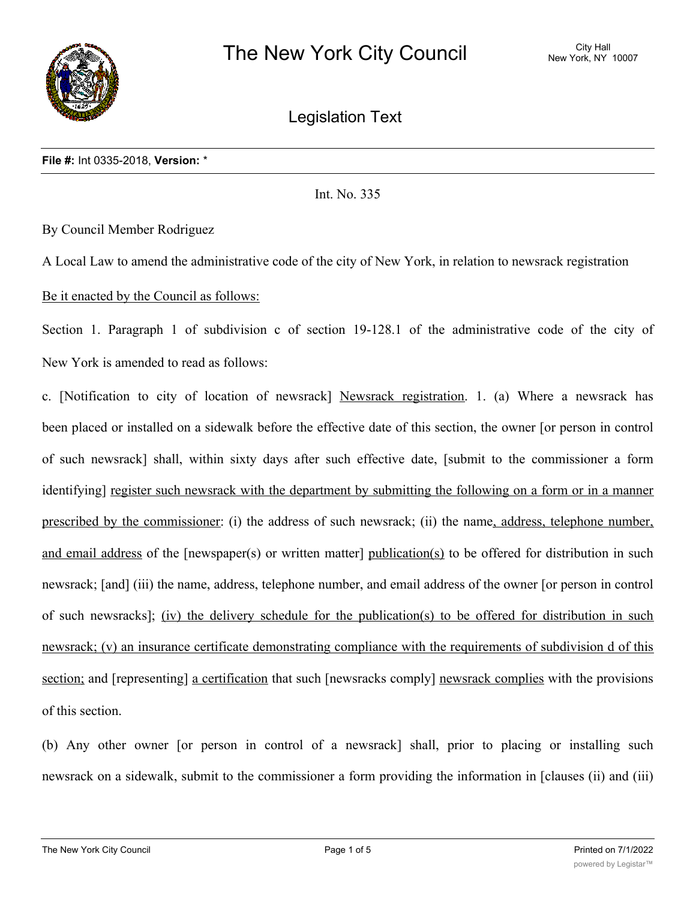

Legislation Text

Int. No. 335

By Council Member Rodriguez

A Local Law to amend the administrative code of the city of New York, in relation to newsrack registration

Be it enacted by the Council as follows:

Section 1. Paragraph 1 of subdivision c of section 19-128.1 of the administrative code of the city of New York is amended to read as follows:

c. [Notification to city of location of newsrack] Newsrack registration. 1. (a) Where a newsrack has been placed or installed on a sidewalk before the effective date of this section, the owner [or person in control of such newsrack] shall, within sixty days after such effective date, [submit to the commissioner a form identifying] register such newsrack with the department by submitting the following on a form or in a manner prescribed by the commissioner: (i) the address of such newsrack; (ii) the name, address, telephone number, and email address of the [newspaper(s) or written matter] publication(s) to be offered for distribution in such newsrack; [and] (iii) the name, address, telephone number, and email address of the owner [or person in control of such newsracks]; (iv) the delivery schedule for the publication(s) to be offered for distribution in such newsrack; (v) an insurance certificate demonstrating compliance with the requirements of subdivision d of this section; and [representing] a certification that such [newsracks comply] newsrack complies with the provisions of this section.

(b) Any other owner [or person in control of a newsrack] shall, prior to placing or installing such newsrack on a sidewalk, submit to the commissioner a form providing the information in [clauses (ii) and (iii)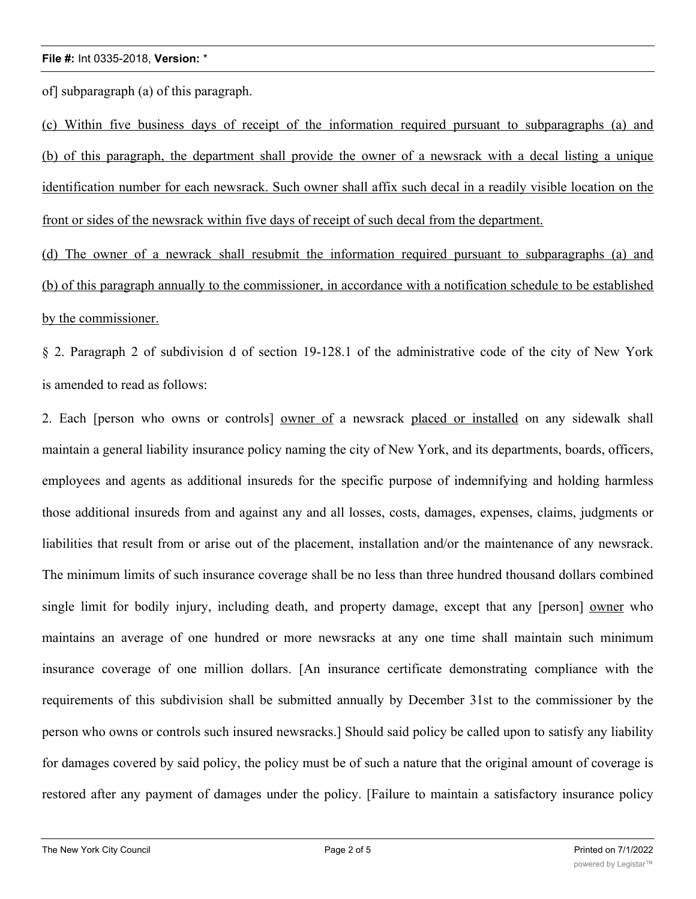of] subparagraph (a) of this paragraph.

(c) Within five business days of receipt of the information required pursuant to subparagraphs (a) and (b) of this paragraph, the department shall provide the owner of a newsrack with a decal listing a unique identification number for each newsrack. Such owner shall affix such decal in a readily visible location on the front or sides of the newsrack within five days of receipt of such decal from the department.

(d) The owner of a newrack shall resubmit the information required pursuant to subparagraphs (a) and (b) of this paragraph annually to the commissioner, in accordance with a notification schedule to be established by the commissioner.

§ 2. Paragraph 2 of subdivision d of section 19-128.1 of the administrative code of the city of New York is amended to read as follows:

2. Each [person who owns or controls] owner of a newsrack placed or installed on any sidewalk shall maintain a general liability insurance policy naming the city of New York, and its departments, boards, officers, employees and agents as additional insureds for the specific purpose of indemnifying and holding harmless those additional insureds from and against any and all losses, costs, damages, expenses, claims, judgments or liabilities that result from or arise out of the placement, installation and/or the maintenance of any newsrack. The minimum limits of such insurance coverage shall be no less than three hundred thousand dollars combined single limit for bodily injury, including death, and property damage, except that any [person] owner who maintains an average of one hundred or more newsracks at any one time shall maintain such minimum insurance coverage of one million dollars. [An insurance certificate demonstrating compliance with the requirements of this subdivision shall be submitted annually by December 31st to the commissioner by the person who owns or controls such insured newsracks.] Should said policy be called upon to satisfy any liability for damages covered by said policy, the policy must be of such a nature that the original amount of coverage is restored after any payment of damages under the policy. [Failure to maintain a satisfactory insurance policy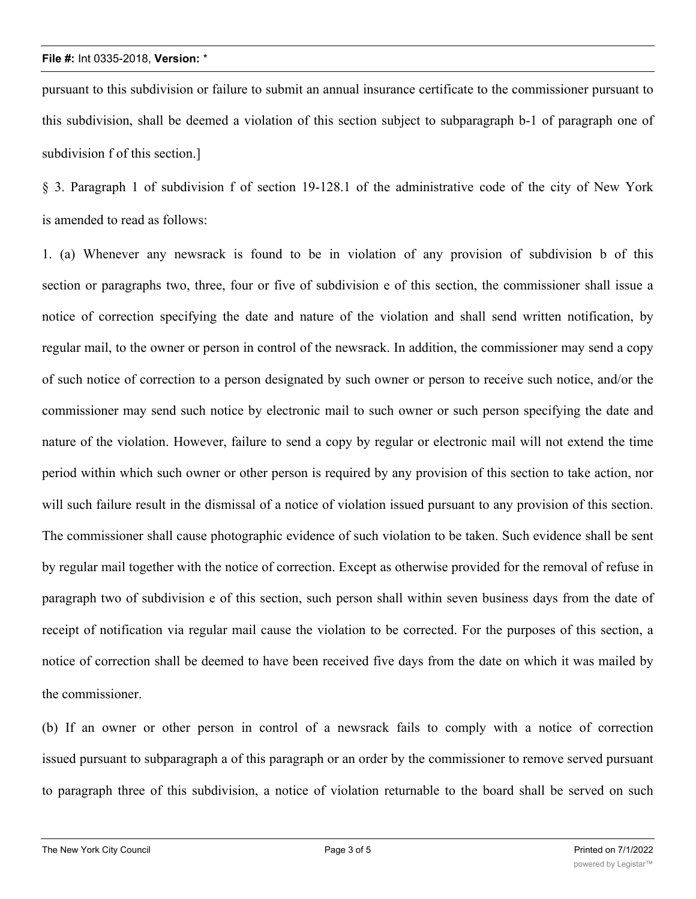pursuant to this subdivision or failure to submit an annual insurance certificate to the commissioner pursuant to this subdivision, shall be deemed a violation of this section subject to subparagraph b-1 of paragraph one of subdivision f of this section.]

§ 3. Paragraph 1 of subdivision f of section 19-128.1 of the administrative code of the city of New York is amended to read as follows:

1. (a) Whenever any newsrack is found to be in violation of any provision of subdivision b of this section or paragraphs two, three, four or five of subdivision e of this section, the commissioner shall issue a notice of correction specifying the date and nature of the violation and shall send written notification, by regular mail, to the owner or person in control of the newsrack. In addition, the commissioner may send a copy of such notice of correction to a person designated by such owner or person to receive such notice, and/or the commissioner may send such notice by electronic mail to such owner or such person specifying the date and nature of the violation. However, failure to send a copy by regular or electronic mail will not extend the time period within which such owner or other person is required by any provision of this section to take action, nor will such failure result in the dismissal of a notice of violation issued pursuant to any provision of this section. The commissioner shall cause photographic evidence of such violation to be taken. Such evidence shall be sent by regular mail together with the notice of correction. Except as otherwise provided for the removal of refuse in paragraph two of subdivision e of this section, such person shall within seven business days from the date of receipt of notification via regular mail cause the violation to be corrected. For the purposes of this section, a notice of correction shall be deemed to have been received five days from the date on which it was mailed by the commissioner.

(b) If an owner or other person in control of a newsrack fails to comply with a notice of correction issued pursuant to subparagraph a of this paragraph or an order by the commissioner to remove served pursuant to paragraph three of this subdivision, a notice of violation returnable to the board shall be served on such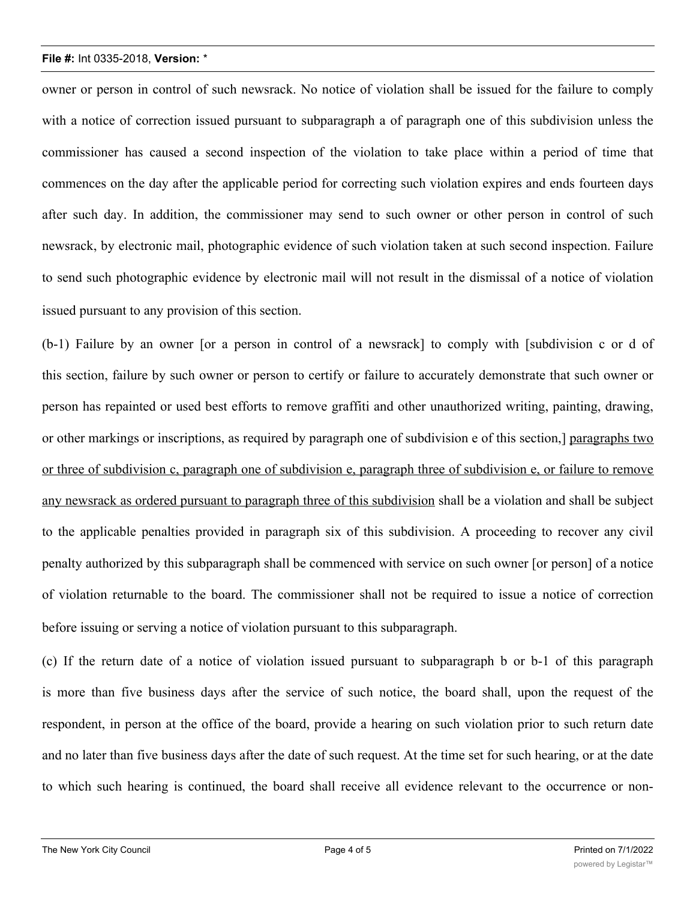owner or person in control of such newsrack. No notice of violation shall be issued for the failure to comply with a notice of correction issued pursuant to subparagraph a of paragraph one of this subdivision unless the commissioner has caused a second inspection of the violation to take place within a period of time that commences on the day after the applicable period for correcting such violation expires and ends fourteen days after such day. In addition, the commissioner may send to such owner or other person in control of such newsrack, by electronic mail, photographic evidence of such violation taken at such second inspection. Failure to send such photographic evidence by electronic mail will not result in the dismissal of a notice of violation issued pursuant to any provision of this section.

(b-1) Failure by an owner [or a person in control of a newsrack] to comply with [subdivision c or d of this section, failure by such owner or person to certify or failure to accurately demonstrate that such owner or person has repainted or used best efforts to remove graffiti and other unauthorized writing, painting, drawing, or other markings or inscriptions, as required by paragraph one of subdivision e of this section,] paragraphs two or three of subdivision c, paragraph one of subdivision e, paragraph three of subdivision e, or failure to remove any newsrack as ordered pursuant to paragraph three of this subdivision shall be a violation and shall be subject to the applicable penalties provided in paragraph six of this subdivision. A proceeding to recover any civil penalty authorized by this subparagraph shall be commenced with service on such owner [or person] of a notice of violation returnable to the board. The commissioner shall not be required to issue a notice of correction before issuing or serving a notice of violation pursuant to this subparagraph.

(c) If the return date of a notice of violation issued pursuant to subparagraph b or b-1 of this paragraph is more than five business days after the service of such notice, the board shall, upon the request of the respondent, in person at the office of the board, provide a hearing on such violation prior to such return date and no later than five business days after the date of such request. At the time set for such hearing, or at the date to which such hearing is continued, the board shall receive all evidence relevant to the occurrence or non-